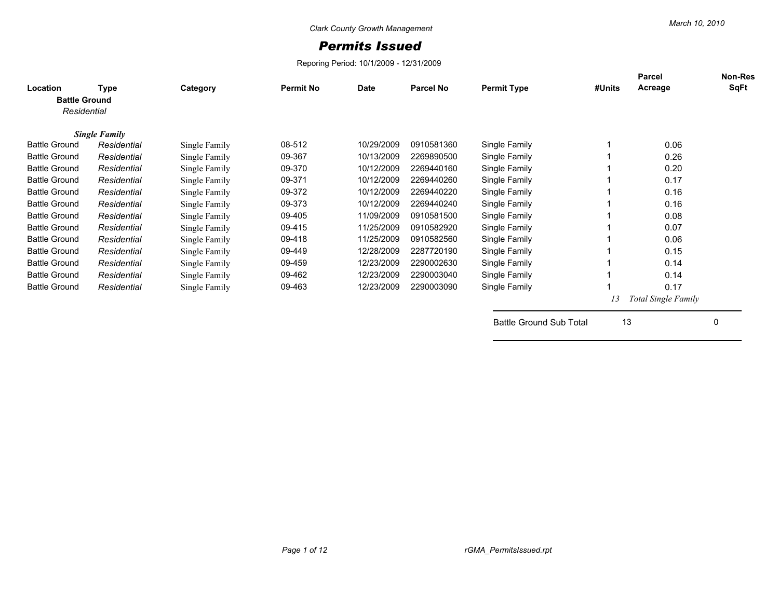## *Permits Issued*

Reporing Period: 10/1/2009 - 12/31/2009

| Location<br><b>Battle Ground</b><br>Residential | Type                 | Category      | <b>Permit No</b> | Date       | Parcel No  | <b>Permit Type</b> | #Units | <b>Parcel</b><br>Acreage | <b>Non-Res</b><br>SqFt |
|-------------------------------------------------|----------------------|---------------|------------------|------------|------------|--------------------|--------|--------------------------|------------------------|
|                                                 | <b>Single Family</b> |               |                  |            |            |                    |        |                          |                        |
| <b>Battle Ground</b>                            | Residential          | Single Family | 08-512           | 10/29/2009 | 0910581360 | Single Family      |        | 0.06                     |                        |
| <b>Battle Ground</b>                            | Residential          | Single Family | 09-367           | 10/13/2009 | 2269890500 | Single Family      |        | 0.26                     |                        |
| <b>Battle Ground</b>                            | Residential          | Single Family | 09-370           | 10/12/2009 | 2269440160 | Single Family      |        | 0.20                     |                        |
| <b>Battle Ground</b>                            | Residential          | Single Family | 09-371           | 10/12/2009 | 2269440260 | Single Family      |        | 0.17                     |                        |
| <b>Battle Ground</b>                            | Residential          | Single Family | 09-372           | 10/12/2009 | 2269440220 | Single Family      |        | 0.16                     |                        |
| <b>Battle Ground</b>                            | Residential          | Single Family | 09-373           | 10/12/2009 | 2269440240 | Single Family      |        | 0.16                     |                        |
| <b>Battle Ground</b>                            | Residential          | Single Family | 09-405           | 11/09/2009 | 0910581500 | Single Family      |        | 0.08                     |                        |
| <b>Battle Ground</b>                            | Residential          | Single Family | 09-415           | 11/25/2009 | 0910582920 | Single Family      |        | 0.07                     |                        |
| <b>Battle Ground</b>                            | Residential          | Single Family | 09-418           | 11/25/2009 | 0910582560 | Single Family      |        | 0.06                     |                        |
| <b>Battle Ground</b>                            | Residential          | Single Family | 09-449           | 12/28/2009 | 2287720190 | Single Family      |        | 0.15                     |                        |
| <b>Battle Ground</b>                            | Residential          | Single Family | 09-459           | 12/23/2009 | 2290002630 | Single Family      |        | 0.14                     |                        |
| <b>Battle Ground</b>                            | Residential          | Single Family | 09-462           | 12/23/2009 | 2290003040 | Single Family      |        | 0.14                     |                        |
| <b>Battle Ground</b>                            | Residential          | Single Family | 09-463           | 12/23/2009 | 2290003090 | Single Family      |        | 0.17                     |                        |
|                                                 |                      |               |                  |            |            |                    | 13     | Total Single Family      |                        |

Battle Ground Sub Total 13 0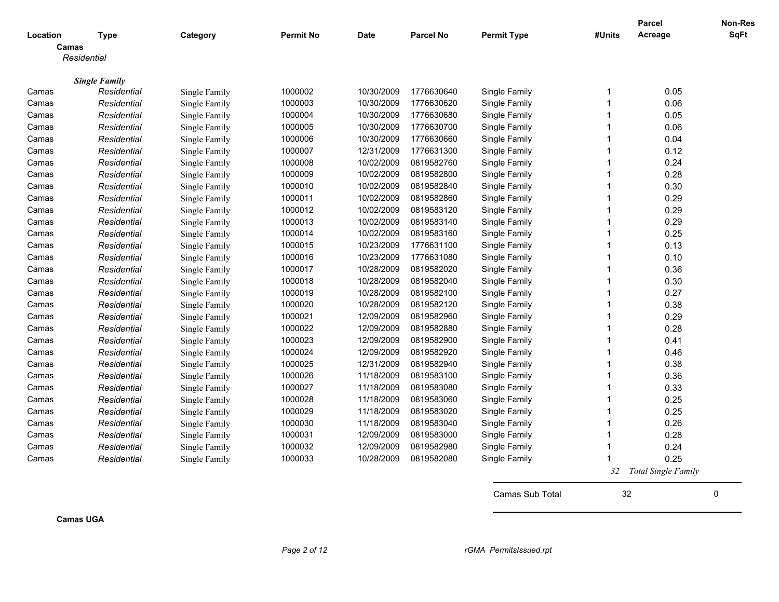|          |                      |               |                  |             |                  |                    |              | <b>Parcel</b>              | Non-Res     |
|----------|----------------------|---------------|------------------|-------------|------------------|--------------------|--------------|----------------------------|-------------|
| Location | <b>Type</b>          | Category      | <b>Permit No</b> | <b>Date</b> | <b>Parcel No</b> | <b>Permit Type</b> | #Units       | Acreage                    | <b>SqFt</b> |
| Camas    |                      |               |                  |             |                  |                    |              |                            |             |
|          | Residential          |               |                  |             |                  |                    |              |                            |             |
|          | <b>Single Family</b> |               |                  |             |                  |                    |              |                            |             |
| Camas    | Residential          | Single Family | 1000002          | 10/30/2009  | 1776630640       | Single Family      | 1            | 0.05                       |             |
| Camas    | Residential          | Single Family | 1000003          | 10/30/2009  | 1776630620       | Single Family      | $\mathbf{1}$ | 0.06                       |             |
| Camas    | Residential          | Single Family | 1000004          | 10/30/2009  | 1776630680       | Single Family      | 1            | 0.05                       |             |
| Camas    | Residential          | Single Family | 1000005          | 10/30/2009  | 1776630700       | Single Family      | 1            | 0.06                       |             |
| Camas    | Residential          | Single Family | 1000006          | 10/30/2009  | 1776630660       | Single Family      | 1            | 0.04                       |             |
| Camas    | Residential          | Single Family | 1000007          | 12/31/2009  | 1776631300       | Single Family      | 1            | 0.12                       |             |
| Camas    | Residential          | Single Family | 1000008          | 10/02/2009  | 0819582760       | Single Family      | $\mathbf{1}$ | 0.24                       |             |
| Camas    | Residential          | Single Family | 1000009          | 10/02/2009  | 0819582800       | Single Family      | 1            | 0.28                       |             |
| Camas    | Residential          | Single Family | 1000010          | 10/02/2009  | 0819582840       | Single Family      | 1            | 0.30                       |             |
| Camas    | Residential          | Single Family | 1000011          | 10/02/2009  | 0819582860       | Single Family      | 1            | 0.29                       |             |
| Camas    | Residential          | Single Family | 1000012          | 10/02/2009  | 0819583120       | Single Family      | 1            | 0.29                       |             |
| Camas    | Residential          | Single Family | 1000013          | 10/02/2009  | 0819583140       | Single Family      | $\mathbf{1}$ | 0.29                       |             |
| Camas    | Residential          | Single Family | 1000014          | 10/02/2009  | 0819583160       | Single Family      | 1            | 0.25                       |             |
| Camas    | Residential          | Single Family | 1000015          | 10/23/2009  | 1776631100       | Single Family      | $\mathbf{1}$ | 0.13                       |             |
| Camas    | Residential          | Single Family | 1000016          | 10/23/2009  | 1776631080       | Single Family      | 1            | 0.10                       |             |
| Camas    | Residential          | Single Family | 1000017          | 10/28/2009  | 0819582020       | Single Family      | 1            | 0.36                       |             |
| Camas    | Residential          | Single Family | 1000018          | 10/28/2009  | 0819582040       | Single Family      | 1            | 0.30                       |             |
| Camas    | Residential          | Single Family | 1000019          | 10/28/2009  | 0819582100       | Single Family      | 1            | 0.27                       |             |
| Camas    | Residential          | Single Family | 1000020          | 10/28/2009  | 0819582120       | Single Family      | 1            | 0.38                       |             |
| Camas    | Residential          | Single Family | 1000021          | 12/09/2009  | 0819582960       | Single Family      | 1            | 0.29                       |             |
| Camas    | Residential          | Single Family | 1000022          | 12/09/2009  | 0819582880       | Single Family      | 1            | 0.28                       |             |
| Camas    | Residential          | Single Family | 1000023          | 12/09/2009  | 0819582900       | Single Family      | 1            | 0.41                       |             |
| Camas    | Residential          | Single Family | 1000024          | 12/09/2009  | 0819582920       | Single Family      | 1            | 0.46                       |             |
| Camas    | Residential          | Single Family | 1000025          | 12/31/2009  | 0819582940       | Single Family      | 1            | 0.38                       |             |
| Camas    | Residential          | Single Family | 1000026          | 11/18/2009  | 0819583100       | Single Family      | 1            | 0.36                       |             |
| Camas    | Residential          | Single Family | 1000027          | 11/18/2009  | 0819583080       | Single Family      | $\mathbf{1}$ | 0.33                       |             |
| Camas    | Residential          | Single Family | 1000028          | 11/18/2009  | 0819583060       | Single Family      | $\mathbf{1}$ | 0.25                       |             |
| Camas    | Residential          | Single Family | 1000029          | 11/18/2009  | 0819583020       | Single Family      | 1            | 0.25                       |             |
| Camas    | Residential          | Single Family | 1000030          | 11/18/2009  | 0819583040       | Single Family      | 1            | 0.26                       |             |
| Camas    | Residential          | Single Family | 1000031          | 12/09/2009  | 0819583000       | Single Family      | 1            | 0.28                       |             |
| Camas    | Residential          | Single Family | 1000032          | 12/09/2009  | 0819582980       | Single Family      | 1            | 0.24                       |             |
| Camas    | Residential          | Single Family | 1000033          | 10/28/2009  | 0819582080       | Single Family      |              | 0.25                       |             |
|          |                      |               |                  |             |                  |                    | 32           | <b>Total Single Family</b> |             |
|          |                      |               |                  |             |                  |                    |              |                            |             |

Camas Sub Total 32 0

**Camas UGA**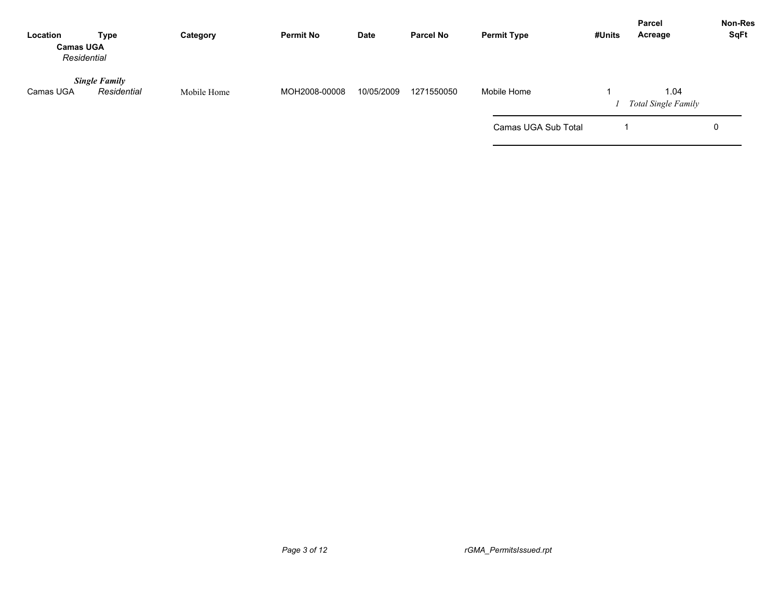| Location<br><b>Camas UGA</b><br>Residential | Type                                | Category    | <b>Permit No</b> | Date       | <b>Parcel No</b> | <b>Permit Type</b>  | #Units | <b>Parcel</b><br>Acreage           | <b>Non-Res</b><br>SqFt |
|---------------------------------------------|-------------------------------------|-------------|------------------|------------|------------------|---------------------|--------|------------------------------------|------------------------|
| Camas UGA                                   | <b>Single Family</b><br>Residential | Mobile Home | MOH2008-00008    | 10/05/2009 | 1271550050       | Mobile Home         |        | 1.04<br><b>Total Single Family</b> |                        |
|                                             |                                     |             |                  |            |                  | Camas UGA Sub Total |        |                                    | 0                      |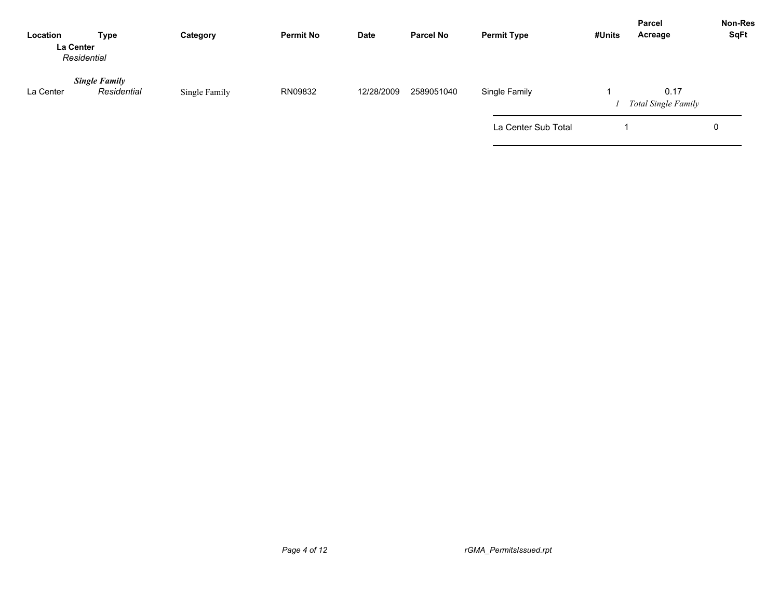| Location  | Type<br>La Center<br>Residential    | Category      | <b>Permit No</b> | Date       | <b>Parcel No</b> | <b>Permit Type</b>  | #Units | <b>Parcel</b><br>Acreage           | <b>Non-Res</b><br>SqFt |
|-----------|-------------------------------------|---------------|------------------|------------|------------------|---------------------|--------|------------------------------------|------------------------|
| La Center | <b>Single Family</b><br>Residential | Single Family | RN09832          | 12/28/2009 | 2589051040       | Single Family       |        | 0.17<br><b>Total Single Family</b> |                        |
|           |                                     |               |                  |            |                  | La Center Sub Total |        |                                    | 0                      |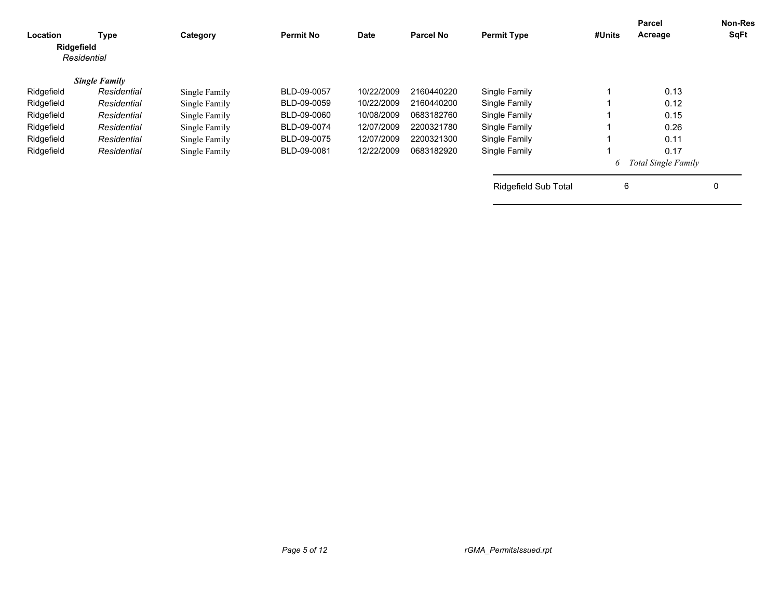| Location<br>Ridgefield | Type<br>Residential  | Category      | <b>Permit No</b> | <b>Date</b> | <b>Parcel No</b> | <b>Permit Type</b>          | #Units | <b>Parcel</b><br>Acreage   | <b>Non-Res</b><br>SqFt |
|------------------------|----------------------|---------------|------------------|-------------|------------------|-----------------------------|--------|----------------------------|------------------------|
|                        | <b>Single Family</b> |               |                  |             |                  |                             |        |                            |                        |
| Ridgefield             | Residential          | Single Family | BLD-09-0057      | 10/22/2009  | 2160440220       | Single Family               |        | 0.13                       |                        |
| Ridgefield             | Residential          | Single Family | BLD-09-0059      | 10/22/2009  | 2160440200       | Single Family               |        | 0.12                       |                        |
| Ridgefield             | Residential          | Single Family | BLD-09-0060      | 10/08/2009  | 0683182760       | Single Family               |        | 0.15                       |                        |
| Ridgefield             | Residential          | Single Family | BLD-09-0074      | 12/07/2009  | 2200321780       | Single Family               |        | 0.26                       |                        |
| Ridgefield             | Residential          | Single Family | BLD-09-0075      | 12/07/2009  | 2200321300       | Single Family               |        | 0.11                       |                        |
| Ridgefield             | Residential          | Single Family | BLD-09-0081      | 12/22/2009  | 0683182920       | Single Family               |        | 0.17                       |                        |
|                        |                      |               |                  |             |                  |                             | 6      | <b>Total Single Family</b> |                        |
|                        |                      |               |                  |             |                  | <b>Ridgefield Sub Total</b> | 6      |                            | 0                      |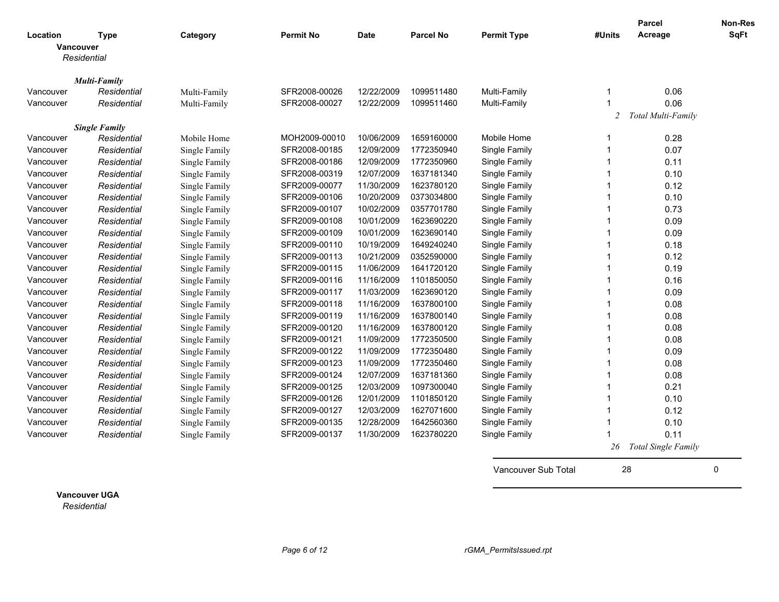|           |                                         |               |                  |             |                  |                    |        | Parcel                     | Non-Res     |
|-----------|-----------------------------------------|---------------|------------------|-------------|------------------|--------------------|--------|----------------------------|-------------|
| Location  | <b>Type</b><br>Vancouver<br>Residential | Category      | <b>Permit No</b> | <b>Date</b> | <b>Parcel No</b> | <b>Permit Type</b> | #Units | Acreage                    | <b>SqFt</b> |
|           |                                         |               |                  |             |                  |                    |        |                            |             |
|           | <b>Multi-Family</b>                     |               |                  |             |                  |                    |        |                            |             |
| Vancouver | Residential                             | Multi-Family  | SFR2008-00026    | 12/22/2009  | 1099511480       | Multi-Family       | -1     | 0.06                       |             |
| Vancouver | Residential                             | Multi-Family  | SFR2008-00027    | 12/22/2009  | 1099511460       | Multi-Family       |        | 0.06                       |             |
|           |                                         |               |                  |             |                  |                    | 2      | Total Multi-Family         |             |
|           | <b>Single Family</b>                    |               |                  |             |                  |                    |        |                            |             |
| Vancouver | Residential                             | Mobile Home   | MOH2009-00010    | 10/06/2009  | 1659160000       | Mobile Home        | -1     | 0.28                       |             |
| Vancouver | Residential                             | Single Family | SFR2008-00185    | 12/09/2009  | 1772350940       | Single Family      | -1     | 0.07                       |             |
| Vancouver | Residential                             | Single Family | SFR2008-00186    | 12/09/2009  | 1772350960       | Single Family      | -1     | 0.11                       |             |
| Vancouver | Residential                             | Single Family | SFR2008-00319    | 12/07/2009  | 1637181340       | Single Family      | -1     | 0.10                       |             |
| Vancouver | Residential                             | Single Family | SFR2009-00077    | 11/30/2009  | 1623780120       | Single Family      | 1      | 0.12                       |             |
| Vancouver | Residential                             | Single Family | SFR2009-00106    | 10/20/2009  | 0373034800       | Single Family      | -1     | 0.10                       |             |
| Vancouver | Residential                             | Single Family | SFR2009-00107    | 10/02/2009  | 0357701780       | Single Family      | 1      | 0.73                       |             |
| Vancouver | Residential                             | Single Family | SFR2009-00108    | 10/01/2009  | 1623690220       | Single Family      | 1      | 0.09                       |             |
| Vancouver | Residential                             | Single Family | SFR2009-00109    | 10/01/2009  | 1623690140       | Single Family      |        | 0.09                       |             |
| Vancouver | Residential                             | Single Family | SFR2009-00110    | 10/19/2009  | 1649240240       | Single Family      |        | 0.18                       |             |
| Vancouver | Residential                             | Single Family | SFR2009-00113    | 10/21/2009  | 0352590000       | Single Family      |        | 0.12                       |             |
| Vancouver | Residential                             | Single Family | SFR2009-00115    | 11/06/2009  | 1641720120       | Single Family      |        | 0.19                       |             |
| Vancouver | Residential                             | Single Family | SFR2009-00116    | 11/16/2009  | 1101850050       | Single Family      |        | 0.16                       |             |
| Vancouver | Residential                             | Single Family | SFR2009-00117    | 11/03/2009  | 1623690120       | Single Family      |        | 0.09                       |             |
| Vancouver | Residential                             | Single Family | SFR2009-00118    | 11/16/2009  | 1637800100       | Single Family      |        | 0.08                       |             |
| Vancouver | Residential                             | Single Family | SFR2009-00119    | 11/16/2009  | 1637800140       | Single Family      |        | 0.08                       |             |
| Vancouver | Residential                             | Single Family | SFR2009-00120    | 11/16/2009  | 1637800120       | Single Family      |        | 0.08                       |             |
| Vancouver | Residential                             | Single Family | SFR2009-00121    | 11/09/2009  | 1772350500       | Single Family      | 1      | 0.08                       |             |
| Vancouver | Residential                             | Single Family | SFR2009-00122    | 11/09/2009  | 1772350480       | Single Family      | 1      | 0.09                       |             |
| Vancouver | Residential                             | Single Family | SFR2009-00123    | 11/09/2009  | 1772350460       | Single Family      | -1     | 0.08                       |             |
| Vancouver | Residential                             | Single Family | SFR2009-00124    | 12/07/2009  | 1637181360       | Single Family      | -1     | 0.08                       |             |
| Vancouver | Residential                             | Single Family | SFR2009-00125    | 12/03/2009  | 1097300040       | Single Family      | 1      | 0.21                       |             |
| Vancouver | Residential                             | Single Family | SFR2009-00126    | 12/01/2009  | 1101850120       | Single Family      | -1     | 0.10                       |             |
| Vancouver | Residential                             | Single Family | SFR2009-00127    | 12/03/2009  | 1627071600       | Single Family      | -1     | 0.12                       |             |
| Vancouver | Residential                             | Single Family | SFR2009-00135    | 12/28/2009  | 1642560360       | Single Family      | 1      | 0.10                       |             |
| Vancouver | Residential                             | Single Family | SFR2009-00137    | 11/30/2009  | 1623780220       | Single Family      |        | 0.11                       |             |
|           |                                         |               |                  |             |                  |                    | 26     | <b>Total Single Family</b> |             |

Vancouver Sub Total 28 0

**Vancouver UGA** *Residential*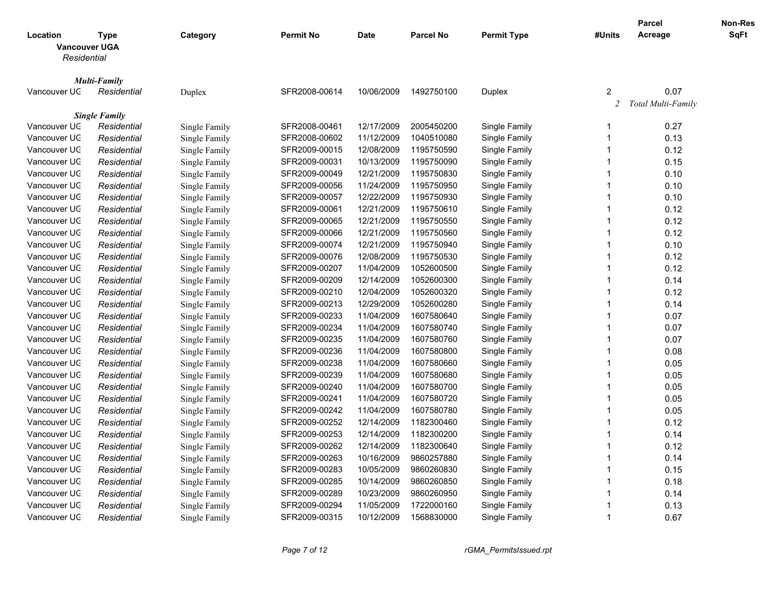|                                                 |                      |               |                  |             |                  |                      |                         | <b>Parcel</b>      | <b>Non-Res</b> |
|-------------------------------------------------|----------------------|---------------|------------------|-------------|------------------|----------------------|-------------------------|--------------------|----------------|
| Location<br><b>Vancouver UGA</b><br>Residential | <b>Type</b>          | Category      | <b>Permit No</b> | <b>Date</b> | <b>Parcel No</b> | <b>Permit Type</b>   | #Units                  | Acreage            | <b>SqFt</b>    |
|                                                 | <b>Multi-Family</b>  |               |                  |             |                  |                      |                         |                    |                |
| Vancouver UC                                    | Residential          | Duplex        | SFR2008-00614    | 10/06/2009  | 1492750100       | Duplex               | 2                       | 0.07               |                |
|                                                 |                      |               |                  |             |                  |                      | 2                       | Total Multi-Family |                |
|                                                 | <b>Single Family</b> |               |                  |             |                  |                      |                         |                    |                |
| Vancouver UC                                    | Residential          | Single Family | SFR2008-00461    | 12/17/2009  | 2005450200       | Single Family        | -1                      | 0.27               |                |
| Vancouver UC                                    | Residential          | Single Family | SFR2008-00602    | 11/12/2009  | 1040510080       | Single Family        | $\overline{1}$          | 0.13               |                |
| Vancouver UC                                    | Residential          | Single Family | SFR2009-00015    | 12/08/2009  | 1195750590       | Single Family        | $\overline{1}$          | 0.12               |                |
| Vancouver UC                                    | Residential          | Single Family | SFR2009-00031    | 10/13/2009  | 1195750090       | Single Family        | 1                       | 0.15               |                |
| Vancouver UC                                    | Residential          | Single Family | SFR2009-00049    | 12/21/2009  | 1195750830       | Single Family        | $\overline{\mathbf{1}}$ | 0.10               |                |
| Vancouver UC                                    | Residential          | Single Family | SFR2009-00056    | 11/24/2009  | 1195750950       | Single Family        | $\overline{1}$          | 0.10               |                |
| Vancouver UC                                    | Residential          | Single Family | SFR2009-00057    | 12/22/2009  | 1195750930       | Single Family        | $\overline{\mathbf{1}}$ | 0.10               |                |
| Vancouver UC                                    | Residential          | Single Family | SFR2009-00061    | 12/21/2009  | 1195750610       | Single Family        | 1                       | 0.12               |                |
| Vancouver UC                                    | Residential          | Single Family | SFR2009-00065    | 12/21/2009  | 1195750550       | Single Family        | $\overline{1}$          | 0.12               |                |
| Vancouver UC                                    | Residential          | Single Family | SFR2009-00066    | 12/21/2009  | 1195750560       | Single Family        | $\overline{1}$          | 0.12               |                |
| Vancouver UC                                    | Residential          | Single Family | SFR2009-00074    | 12/21/2009  | 1195750940       | Single Family        | $\overline{1}$          | 0.10               |                |
| Vancouver UC                                    | Residential          | Single Family | SFR2009-00076    | 12/08/2009  | 1195750530       | Single Family        | 1                       | 0.12               |                |
| Vancouver UC                                    | Residential          | Single Family | SFR2009-00207    | 11/04/2009  | 1052600500       | Single Family        | $\overline{1}$          | 0.12               |                |
| Vancouver UC                                    | Residential          | Single Family | SFR2009-00209    | 12/14/2009  | 1052600300       | Single Family        | $\overline{1}$          | 0.14               |                |
| Vancouver UC                                    | Residential          | Single Family | SFR2009-00210    | 12/04/2009  | 1052600320       | Single Family        | $\overline{\mathbf{1}}$ | 0.12               |                |
| Vancouver UC                                    | Residential          | Single Family | SFR2009-00213    | 12/29/2009  | 1052600280       | Single Family        | $\overline{1}$          | 0.14               |                |
| Vancouver UC                                    | Residential          | Single Family | SFR2009-00233    | 11/04/2009  | 1607580640       | Single Family        | $\overline{1}$          | 0.07               |                |
| Vancouver UC                                    | Residential          | Single Family | SFR2009-00234    | 11/04/2009  | 1607580740       | Single Family        | $\overline{1}$          | 0.07               |                |
| Vancouver UC                                    | Residential          | Single Family | SFR2009-00235    | 11/04/2009  | 1607580760       | Single Family        | $\overline{\mathbf{1}}$ | 0.07               |                |
| Vancouver UC                                    | Residential          | Single Family | SFR2009-00236    | 11/04/2009  | 1607580800       | <b>Single Family</b> | $\overline{1}$          | 0.08               |                |
| Vancouver UC                                    | Residential          | Single Family | SFR2009-00238    | 11/04/2009  | 1607580660       | Single Family        | $\overline{1}$          | 0.05               |                |
| Vancouver UC                                    | Residential          | Single Family | SFR2009-00239    | 11/04/2009  | 1607580680       | Single Family        | $\overline{1}$          | 0.05               |                |
| Vancouver UC                                    | Residential          | Single Family | SFR2009-00240    | 11/04/2009  | 1607580700       | Single Family        | $\overline{\mathbf{1}}$ | 0.05               |                |
| Vancouver UC                                    | Residential          | Single Family | SFR2009-00241    | 11/04/2009  | 1607580720       | Single Family        | $\overline{1}$          | 0.05               |                |
| Vancouver UC                                    | Residential          | Single Family | SFR2009-00242    | 11/04/2009  | 1607580780       | Single Family        | $\overline{1}$          | 0.05               |                |
| Vancouver UC                                    | Residential          | Single Family | SFR2009-00252    | 12/14/2009  | 1182300460       | Single Family        | $\overline{1}$          | 0.12               |                |
| Vancouver UC                                    | Residential          | Single Family | SFR2009-00253    | 12/14/2009  | 1182300200       | Single Family        | $\overline{1}$          | 0.14               |                |
| Vancouver UC                                    | Residential          | Single Family | SFR2009-00262    | 12/14/2009  | 1182300640       | Single Family        | $\overline{\mathbf{1}}$ | 0.12               |                |
| Vancouver UC                                    | Residential          | Single Family | SFR2009-00263    | 10/16/2009  | 9860257880       | Single Family        | $\overline{1}$          | 0.14               |                |
| Vancouver UC                                    | Residential          | Single Family | SFR2009-00283    | 10/05/2009  | 9860260830       | Single Family        | $\overline{1}$          | 0.15               |                |
| Vancouver UC                                    | Residential          | Single Family | SFR2009-00285    | 10/14/2009  | 9860260850       | Single Family        | -1                      | 0.18               |                |
| Vancouver UC                                    | Residential          | Single Family | SFR2009-00289    | 10/23/2009  | 9860260950       | Single Family        | -1                      | 0.14               |                |
| Vancouver UC                                    | Residential          | Single Family | SFR2009-00294    | 11/05/2009  | 1722000160       | Single Family        | -1                      | 0.13               |                |
| Vancouver UC                                    | Residential          | Single Family | SFR2009-00315    | 10/12/2009  | 1568830000       | Single Family        | $\overline{1}$          | 0.67               |                |
|                                                 |                      |               |                  |             |                  |                      |                         |                    |                |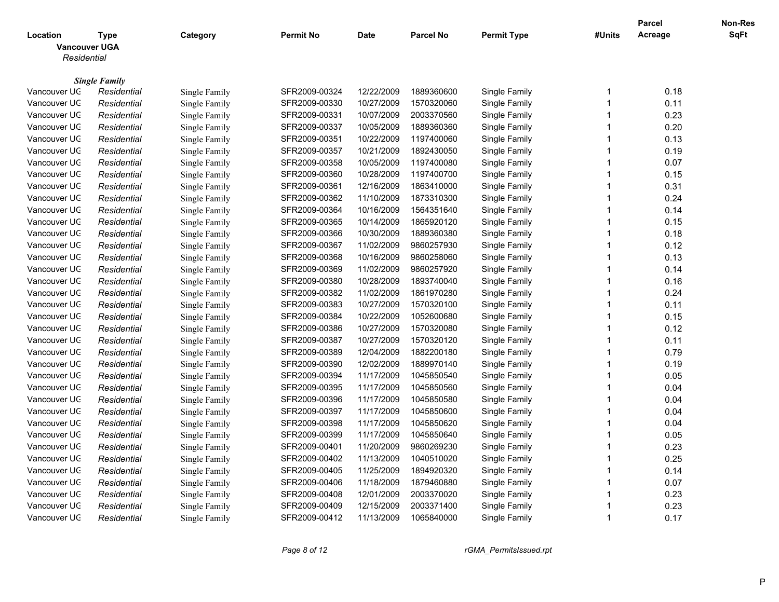|                                                 |                                     |               |                  |                          |                          |                      |                         | <b>Parcel</b> | <b>Non-Res</b> |
|-------------------------------------------------|-------------------------------------|---------------|------------------|--------------------------|--------------------------|----------------------|-------------------------|---------------|----------------|
| Location<br><b>Vancouver UGA</b><br>Residential | <b>Type</b>                         | Category      | <b>Permit No</b> | <b>Date</b>              | <b>Parcel No</b>         | <b>Permit Type</b>   | #Units                  | Acreage       | <b>SqFt</b>    |
|                                                 |                                     |               |                  |                          |                          |                      |                         |               |                |
| Vancouver UC                                    | <b>Single Family</b><br>Residential |               | SFR2009-00324    | 12/22/2009               | 1889360600               | Single Family        | -1                      | 0.18          |                |
| Vancouver UC                                    |                                     | Single Family |                  |                          |                          |                      | $\overline{1}$          | 0.11          |                |
|                                                 | Residential                         | Single Family | SFR2009-00330    | 10/27/2009               | 1570320060<br>2003370560 | Single Family        | $\overline{1}$          |               |                |
| Vancouver UC                                    | Residential                         | Single Family | SFR2009-00331    | 10/07/2009               |                          | Single Family        | $\overline{\mathbf{1}}$ | 0.23          |                |
| Vancouver UC                                    | Residential                         | Single Family | SFR2009-00337    | 10/05/2009<br>10/22/2009 | 1889360360               | Single Family        | $\overline{1}$          | 0.20          |                |
| Vancouver UC                                    | Residential                         | Single Family | SFR2009-00351    |                          | 1197400060               | Single Family        | $\overline{\mathbf{1}}$ | 0.13          |                |
| Vancouver UC                                    | Residential                         | Single Family | SFR2009-00357    | 10/21/2009               | 1892430050               | Single Family        | 1                       | 0.19          |                |
| Vancouver UC                                    | Residential                         | Single Family | SFR2009-00358    | 10/05/2009               | 1197400080               | Single Family        | $\overline{1}$          | 0.07          |                |
| Vancouver UC                                    | Residential                         | Single Family | SFR2009-00360    | 10/28/2009               | 1197400700               | Single Family        |                         | 0.15          |                |
| Vancouver UC                                    | Residential                         | Single Family | SFR2009-00361    | 12/16/2009               | 1863410000               | Single Family        | $\overline{1}$          | 0.31          |                |
| Vancouver UC                                    | Residential                         | Single Family | SFR2009-00362    | 11/10/2009               | 1873310300               | Single Family        | $\overline{1}$          | 0.24          |                |
| Vancouver UC                                    | Residential                         | Single Family | SFR2009-00364    | 10/16/2009               | 1564351640               | Single Family        | $\overline{1}$          | 0.14          |                |
| Vancouver UC                                    | Residential                         | Single Family | SFR2009-00365    | 10/14/2009               | 1865920120               | Single Family        | $\overline{1}$          | 0.15          |                |
| Vancouver UC                                    | Residential                         | Single Family | SFR2009-00366    | 10/30/2009               | 1889360380               | Single Family        | $\overline{1}$          | 0.18          |                |
| Vancouver UC                                    | Residential                         | Single Family | SFR2009-00367    | 11/02/2009               | 9860257930               | Single Family        | $\overline{\mathbf{1}}$ | 0.12          |                |
| Vancouver UC                                    | Residential                         | Single Family | SFR2009-00368    | 10/16/2009               | 9860258060               | <b>Single Family</b> | $\overline{1}$          | 0.13          |                |
| Vancouver UC                                    | Residential                         | Single Family | SFR2009-00369    | 11/02/2009               | 9860257920               | Single Family        | -1                      | 0.14          |                |
| Vancouver UC                                    | Residential                         | Single Family | SFR2009-00380    | 10/28/2009               | 1893740040               | Single Family        | $\overline{1}$          | 0.16          |                |
| Vancouver UC                                    | Residential                         | Single Family | SFR2009-00382    | 11/02/2009               | 1861970280               | Single Family        | $\overline{\mathbf{1}}$ | 0.24          |                |
| Vancouver UC                                    | Residential                         | Single Family | SFR2009-00383    | 10/27/2009               | 1570320100               | Single Family        | $\overline{\mathbf{1}}$ | 0.11          |                |
| Vancouver UC                                    | Residential                         | Single Family | SFR2009-00384    | 10/22/2009               | 1052600680               | Single Family        | $\overline{1}$          | 0.15          |                |
| Vancouver UC                                    | Residential                         | Single Family | SFR2009-00386    | 10/27/2009               | 1570320080               | Single Family        | $\overline{1}$          | 0.12          |                |
| Vancouver UC                                    | Residential                         | Single Family | SFR2009-00387    | 10/27/2009               | 1570320120               | Single Family        | $\overline{1}$          | 0.11          |                |
| Vancouver UC                                    | Residential                         | Single Family | SFR2009-00389    | 12/04/2009               | 1882200180               | Single Family        | $\overline{1}$          | 0.79          |                |
| Vancouver UC                                    | Residential                         | Single Family | SFR2009-00390    | 12/02/2009               | 1889970140               | Single Family        | 1                       | 0.19          |                |
| Vancouver UC                                    | Residential                         | Single Family | SFR2009-00394    | 11/17/2009               | 1045850540               | Single Family        | $\overline{1}$          | 0.05          |                |
| Vancouver UC                                    | Residential                         | Single Family | SFR2009-00395    | 11/17/2009               | 1045850560               | Single Family        | $\overline{1}$          | 0.04          |                |
| Vancouver UC                                    | Residential                         | Single Family | SFR2009-00396    | 11/17/2009               | 1045850580               | Single Family        | $\overline{\mathbf{1}}$ | 0.04          |                |
| Vancouver UC                                    | Residential                         | Single Family | SFR2009-00397    | 11/17/2009               | 1045850600               | Single Family        | $\overline{1}$          | 0.04          |                |
| Vancouver UC                                    | Residential                         | Single Family | SFR2009-00398    | 11/17/2009               | 1045850620               | Single Family        | $\overline{1}$          | 0.04          |                |
| Vancouver UC                                    | Residential                         | Single Family | SFR2009-00399    | 11/17/2009               | 1045850640               | Single Family        | 1                       | 0.05          |                |
| Vancouver UC                                    | Residential                         | Single Family | SFR2009-00401    | 11/20/2009               | 9860269230               | <b>Single Family</b> | $\overline{1}$          | 0.23          |                |
| Vancouver UC                                    | Residential                         | Single Family | SFR2009-00402    | 11/13/2009               | 1040510020               | Single Family        | $\overline{1}$          | 0.25          |                |
| Vancouver UC                                    | Residential                         | Single Family | SFR2009-00405    | 11/25/2009               | 1894920320               | Single Family        | $\overline{\mathbf{1}}$ | 0.14          |                |
| Vancouver UC                                    | Residential                         | Single Family | SFR2009-00406    | 11/18/2009               | 1879460880               | Single Family        | $\overline{1}$          | 0.07          |                |
| Vancouver UC                                    | Residential                         | Single Family | SFR2009-00408    | 12/01/2009               | 2003370020               | Single Family        | -1                      | 0.23          |                |
| Vancouver UC                                    | Residential                         | Single Family | SFR2009-00409    | 12/15/2009               | 2003371400               | Single Family        | $\overline{1}$          | 0.23          |                |
| Vancouver UC                                    | Residential                         | Single Family | SFR2009-00412    | 11/13/2009               | 1065840000               | Single Family        | $\overline{1}$          | 0.17          |                |
|                                                 |                                     |               |                  |                          |                          |                      |                         |               |                |

*Page 8 of 12 rGMA\_PermitsIssued.rpt*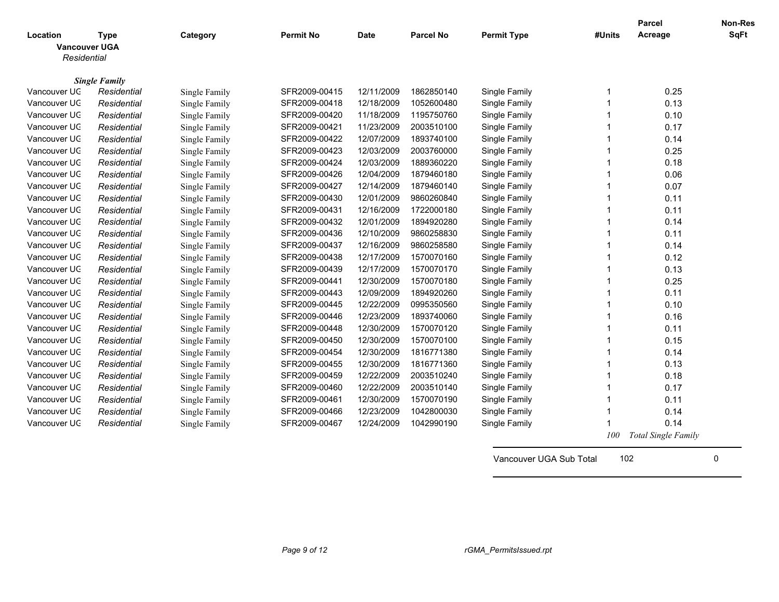|                      |                      |               |                  |             |                  |                    |        | Parcel                     | Non-Res     |
|----------------------|----------------------|---------------|------------------|-------------|------------------|--------------------|--------|----------------------------|-------------|
| Location             | <b>Type</b>          | Category      | <b>Permit No</b> | <b>Date</b> | <b>Parcel No</b> | <b>Permit Type</b> | #Units | Acreage                    | <b>SqFt</b> |
| <b>Vancouver UGA</b> |                      |               |                  |             |                  |                    |        |                            |             |
| Residential          |                      |               |                  |             |                  |                    |        |                            |             |
|                      |                      |               |                  |             |                  |                    |        |                            |             |
|                      | <b>Single Family</b> |               |                  |             |                  |                    |        |                            |             |
| Vancouver UC         | Residential          | Single Family | SFR2009-00415    | 12/11/2009  | 1862850140       | Single Family      | 1      | 0.25                       |             |
| Vancouver UC         | Residential          | Single Family | SFR2009-00418    | 12/18/2009  | 1052600480       | Single Family      | 1      | 0.13                       |             |
| Vancouver UC         | Residential          | Single Family | SFR2009-00420    | 11/18/2009  | 1195750760       | Single Family      | 1      | 0.10                       |             |
| Vancouver UC         | Residential          | Single Family | SFR2009-00421    | 11/23/2009  | 2003510100       | Single Family      |        | 0.17                       |             |
| Vancouver UC         | Residential          | Single Family | SFR2009-00422    | 12/07/2009  | 1893740100       | Single Family      |        | 0.14                       |             |
| Vancouver UC         | Residential          | Single Family | SFR2009-00423    | 12/03/2009  | 2003760000       | Single Family      |        | 0.25                       |             |
| Vancouver UC         | Residential          | Single Family | SFR2009-00424    | 12/03/2009  | 1889360220       | Single Family      |        | 0.18                       |             |
| Vancouver UC         | Residential          | Single Family | SFR2009-00426    | 12/04/2009  | 1879460180       | Single Family      | -1     | 0.06                       |             |
| Vancouver UC         | Residential          | Single Family | SFR2009-00427    | 12/14/2009  | 1879460140       | Single Family      | 1      | 0.07                       |             |
| Vancouver UC         | Residential          | Single Family | SFR2009-00430    | 12/01/2009  | 9860260840       | Single Family      | -1     | 0.11                       |             |
| Vancouver UC         | Residential          | Single Family | SFR2009-00431    | 12/16/2009  | 1722000180       | Single Family      | -1     | 0.11                       |             |
| Vancouver UC         | Residential          | Single Family | SFR2009-00432    | 12/01/2009  | 1894920280       | Single Family      | 1      | 0.14                       |             |
| Vancouver UC         | Residential          | Single Family | SFR2009-00436    | 12/10/2009  | 9860258830       | Single Family      | 1      | 0.11                       |             |
| Vancouver UC         | Residential          | Single Family | SFR2009-00437    | 12/16/2009  | 9860258580       | Single Family      | 1      | 0.14                       |             |
| Vancouver UC         | Residential          | Single Family | SFR2009-00438    | 12/17/2009  | 1570070160       | Single Family      |        | 0.12                       |             |
| Vancouver UC         | Residential          | Single Family | SFR2009-00439    | 12/17/2009  | 1570070170       | Single Family      |        | 0.13                       |             |
| Vancouver UC         | Residential          | Single Family | SFR2009-00441    | 12/30/2009  | 1570070180       | Single Family      |        | 0.25                       |             |
| Vancouver UC         | Residential          | Single Family | SFR2009-00443    | 12/09/2009  | 1894920260       | Single Family      |        | 0.11                       |             |
| Vancouver UC         | Residential          | Single Family | SFR2009-00445    | 12/22/2009  | 0995350560       | Single Family      | -1     | 0.10                       |             |
| Vancouver UC         | Residential          | Single Family | SFR2009-00446    | 12/23/2009  | 1893740060       | Single Family      | -1     | 0.16                       |             |
|                      |                      |               |                  |             |                  |                    | -1     |                            |             |
| Vancouver UC         | Residential          | Single Family | SFR2009-00448    | 12/30/2009  | 1570070120       | Single Family      |        | 0.11                       |             |
| Vancouver UC         | Residential          | Single Family | SFR2009-00450    | 12/30/2009  | 1570070100       | Single Family      | -1     | 0.15                       |             |
| Vancouver UC         | Residential          | Single Family | SFR2009-00454    | 12/30/2009  | 1816771380       | Single Family      | 1      | 0.14                       |             |
| Vancouver UC         | Residential          | Single Family | SFR2009-00455    | 12/30/2009  | 1816771360       | Single Family      | 1      | 0.13                       |             |
| Vancouver UC         | Residential          | Single Family | SFR2009-00459    | 12/22/2009  | 2003510240       | Single Family      | 1      | 0.18                       |             |
| Vancouver UC         | Residential          | Single Family | SFR2009-00460    | 12/22/2009  | 2003510140       | Single Family      |        | 0.17                       |             |
| Vancouver UC         | Residential          | Single Family | SFR2009-00461    | 12/30/2009  | 1570070190       | Single Family      |        | 0.11                       |             |
| Vancouver UC         | Residential          | Single Family | SFR2009-00466    | 12/23/2009  | 1042800030       | Single Family      |        | 0.14                       |             |
| Vancouver UC         | Residential          | Single Family | SFR2009-00467    | 12/24/2009  | 1042990190       | Single Family      |        | 0.14                       |             |
|                      |                      |               |                  |             |                  |                    | 100    | <b>Total Single Family</b> |             |

Vancouver UGA Sub Total 102 0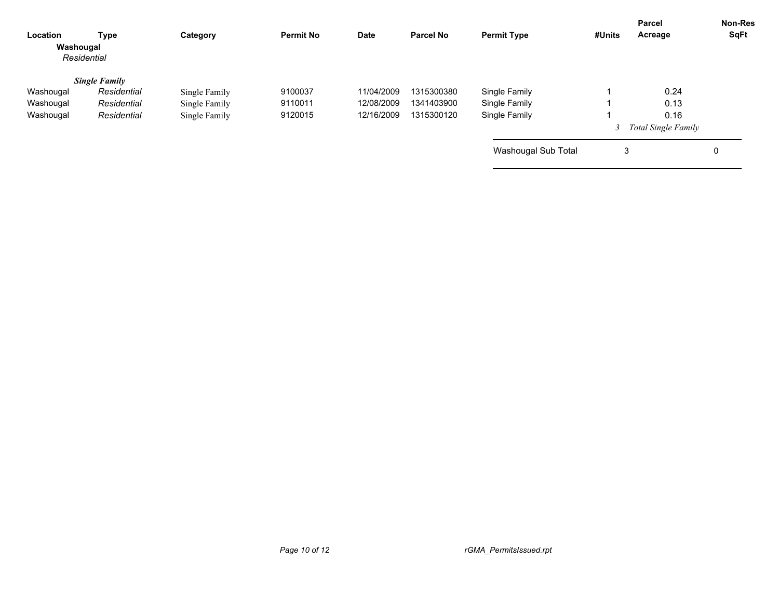| Location<br>Washougal | Type<br>Residential  | Category      | <b>Permit No</b> | Date       | <b>Parcel No</b> | <b>Permit Type</b>  | #Units | Parcel<br>Acreage     | <b>Non-Res</b><br>SqFt |
|-----------------------|----------------------|---------------|------------------|------------|------------------|---------------------|--------|-----------------------|------------------------|
|                       | <b>Single Family</b> |               |                  |            |                  |                     |        |                       |                        |
| Washougal             | Residential          | Single Family | 9100037          | 11/04/2009 | 1315300380       | Single Family       |        | 0.24                  |                        |
| Washougal             | Residential          | Single Family | 9110011          | 12/08/2009 | 1341403900       | Single Family       |        | 0.13                  |                        |
| Washougal             | Residential          | Single Family | 9120015          | 12/16/2009 | 1315300120       | Single Family       |        | 0.16                  |                        |
|                       |                      |               |                  |            |                  |                     |        | 3 Total Single Family |                        |
|                       |                      |               |                  |            |                  | Washougal Sub Total | 3      |                       | 0                      |
|                       |                      |               |                  |            |                  |                     |        |                       |                        |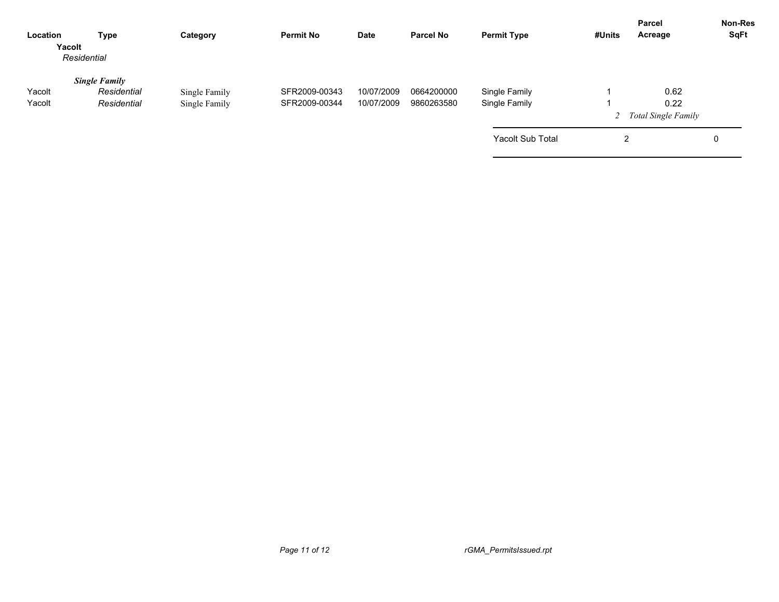| Location<br>Yacolt | Type<br>Residential                                | Category                       | <b>Permit No</b>               | <b>Date</b>              | <b>Parcel No</b>         | <b>Permit Type</b>             | #Units | <b>Parcel</b><br>Acreage              | <b>Non-Res</b><br>SqFt |
|--------------------|----------------------------------------------------|--------------------------------|--------------------------------|--------------------------|--------------------------|--------------------------------|--------|---------------------------------------|------------------------|
| Yacolt<br>Yacolt   | <b>Single Family</b><br>Residential<br>Residential | Single Family<br>Single Family | SFR2009-00343<br>SFR2009-00344 | 10/07/2009<br>10/07/2009 | 0664200000<br>9860263580 | Single Family<br>Single Family |        | 0.62<br>0.22<br>2 Total Single Family |                        |
|                    |                                                    |                                |                                |                          |                          | <b>Yacolt Sub Total</b>        | 2      |                                       | 0                      |